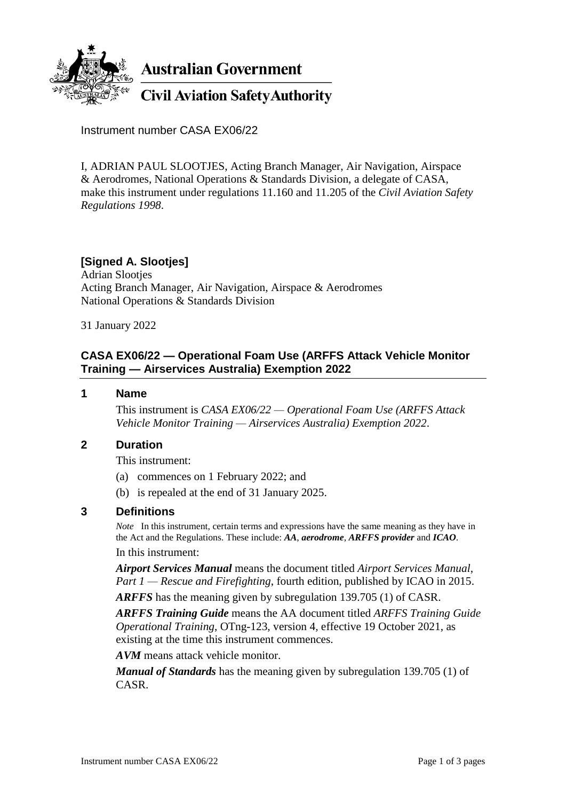

**Australian Government** 

**Civil Aviation Safety Authority** 

Instrument number CASA EX06/22

I, ADRIAN PAUL SLOOTJES, Acting Branch Manager, Air Navigation, Airspace & Aerodromes, National Operations & Standards Division, a delegate of CASA, make this instrument under regulations 11.160 and 11.205 of the *Civil Aviation Safety Regulations 1998*.

# **[Signed A. Slootjes]**

Adrian Slootjes Acting Branch Manager, Air Navigation, Airspace & Aerodromes National Operations & Standards Division

31 January 2022

## **CASA EX06/22 — Operational Foam Use (ARFFS Attack Vehicle Monitor Training — Airservices Australia) Exemption 2022**

### **1 Name**

This instrument is *CASA EX06/22 — Operational Foam Use (ARFFS Attack Vehicle Monitor Training — Airservices Australia) Exemption 2022*.

### **2 Duration**

This instrument:

- (a) commences on 1 February 2022; and
- (b) is repealed at the end of 31 January 2025.

## **3 Definitions**

*Note* In this instrument, certain terms and expressions have the same meaning as they have in the Act and the Regulations. These include: *AA*, *aerodrome*, *ARFFS provider* and *ICAO*. In this instrument:

*Airport Services Manual* means the document titled *Airport Services Manual*, *Part 1 — Rescue and Firefighting*, fourth edition, published by ICAO in 2015.

*ARFFS* has the meaning given by subregulation 139.705 (1) of CASR.

*ARFFS Training Guide* means the AA document titled *ARFFS Training Guide Operational Training*, OTng-123*,* version 4*,* effective 19 October 2021, as existing at the time this instrument commences.

*AVM* means attack vehicle monitor.

*Manual of Standards* has the meaning given by subregulation 139.705 (1) of CASR.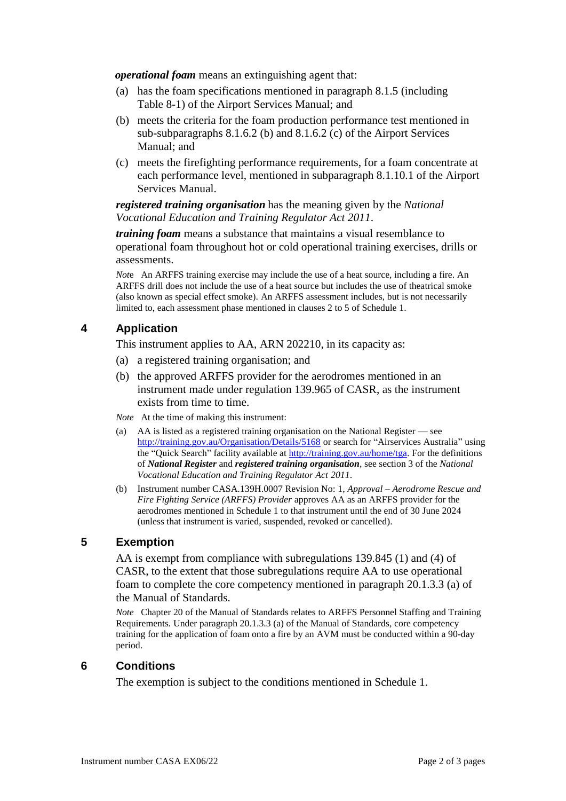*operational foam* means an extinguishing agent that:

- (a) has the foam specifications mentioned in paragraph 8.1.5 (including Table 8-1) of the Airport Services Manual; and
- (b) meets the criteria for the foam production performance test mentioned in sub-subparagraphs 8.1.6.2 (b) and 8.1.6.2 (c) of the Airport Services Manual; and
- (c) meets the firefighting performance requirements, for a foam concentrate at each performance level, mentioned in subparagraph 8.1.10.1 of the Airport Services Manual.

*registered training organisation* has the meaning given by the *National Vocational Education and Training Regulator Act 2011*.

*training foam* means a substance that maintains a visual resemblance to operational foam throughout hot or cold operational training exercises, drills or assessments.

*Not*e An ARFFS training exercise may include the use of a heat source, including a fire. An ARFFS drill does not include the use of a heat source but includes the use of theatrical smoke (also known as special effect smoke). An ARFFS assessment includes, but is not necessarily limited to, each assessment phase mentioned in clauses 2 to 5 of Schedule 1.

### **4 Application**

This instrument applies to AA, ARN 202210, in its capacity as:

- (a) a registered training organisation; and
- (b) the approved ARFFS provider for the aerodromes mentioned in an instrument made under regulation 139.965 of CASR, as the instrument exists from time to time.
- *Note* At the time of making this instrument:
- (a) AA is listed as a registered training organisation on the National Register see <http://training.gov.au/Organisation/Details/5168> or search for "Airservices Australia" using the "Quick Search" facility available at [http://training.gov.au/home/tga.](http://training.gov.au/home/tga) For the definitions of *National Register* and *registered training organisation*, see section 3 of the *National Vocational Education and Training Regulator Act 2011*.
- (b) Instrument number CASA.139H.0007 Revision No: 1, *Approval – Aerodrome Rescue and Fire Fighting Service (ARFFS) Provider* approves AA as an ARFFS provider for the aerodromes mentioned in Schedule 1 to that instrument until the end of 30 June 2024 (unless that instrument is varied, suspended, revoked or cancelled).

#### **5 Exemption**

AA is exempt from compliance with subregulations 139.845 (1) and (4) of CASR, to the extent that those subregulations require AA to use operational foam to complete the core competency mentioned in paragraph 20.1.3.3 (a) of the Manual of Standards.

*Note* Chapter 20 of the Manual of Standards relates to ARFFS Personnel Staffing and Training Requirements*.* Under paragraph 20.1.3.3 (a) of the Manual of Standards, core competency training for the application of foam onto a fire by an AVM must be conducted within a 90-day period.

#### **6 Conditions**

The exemption is subject to the conditions mentioned in Schedule 1.